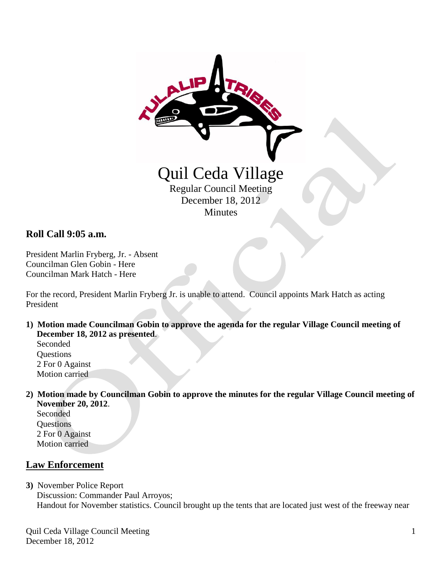

## **Roll Call 9:05 a.m.**

President Marlin Fryberg, Jr. - Absent Councilman Glen Gobin - Here Councilman Mark Hatch - Here

For the record, President Marlin Fryberg Jr. is unable to attend. Council appoints Mark Hatch as acting President

**1) Motion made Councilman Gobin to approve the agenda for the regular Village Council meeting of December 18, 2012 as presented**.

 Seconded **Questions**  2 For 0 Against Motion carried

**2) Motion made by Councilman Gobin to approve the minutes for the regular Village Council meeting of November 20, 2012**.

 Seconded **Questions**  2 For 0 Against Motion carried

## **Law Enforcement**

**3)** November Police Report Discussion: Commander Paul Arroyos; Handout for November statistics. Council brought up the tents that are located just west of the freeway near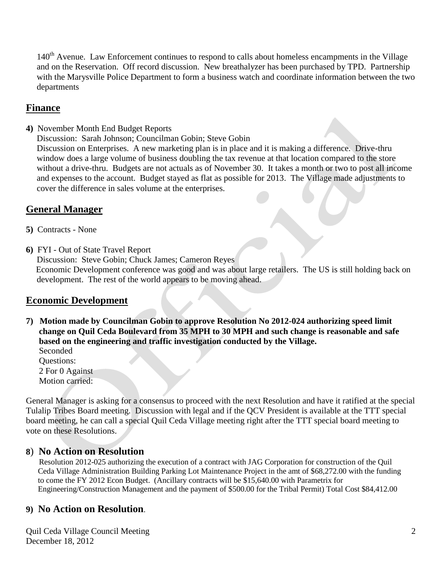140<sup>th</sup> Avenue. Law Enforcement continues to respond to calls about homeless encampments in the Village and on the Reservation. Off record discussion. New breathalyzer has been purchased by TPD. Partnership with the Marysville Police Department to form a business watch and coordinate information between the two departments

## **Finance**

**4)** November Month End Budget Reports

 Discussion: Sarah Johnson; Councilman Gobin; Steve Gobin Discussion on Enterprises. A new marketing plan is in place and it is making a difference. Drive-thru window does a large volume of business doubling the tax revenue at that location compared to the store without a drive-thru. Budgets are not actuals as of November 30. It takes a month or two to post all income and expenses to the account. Budget stayed as flat as possible for 2013. The Village made adjustments to cover the difference in sales volume at the enterprises.

# **General Manager**

- **5)** Contracts None
- **6)** FYI Out of State Travel Report

Discussion: Steve Gobin; Chuck James; Cameron Reyes

 Economic Development conference was good and was about large retailers. The US is still holding back on development. The rest of the world appears to be moving ahead.

## **Economic Development**

**7) Motion made by Councilman Gobin to approve Resolution No 2012-024 authorizing speed limit change on Quil Ceda Boulevard from 35 MPH to 30 MPH and such change is reasonable and safe based on the engineering and traffic investigation conducted by the Village.** Seconded

 Questions: 2 For 0 Against Motion carried:

General Manager is asking for a consensus to proceed with the next Resolution and have it ratified at the special Tulalip Tribes Board meeting. Discussion with legal and if the QCV President is available at the TTT special board meeting, he can call a special Quil Ceda Village meeting right after the TTT special board meeting to vote on these Resolutions.

## **8**) **No Action on Resolution**

 Resolution 2012-025 authorizing the execution of a contract with JAG Corporation for construction of the Quil Ceda Village Administration Building Parking Lot Maintenance Project in the amt of \$68,272.00 with the funding to come the FY 2012 Econ Budget. (Ancillary contracts will be \$15,640.00 with Parametrix for Engineering/Construction Management and the payment of \$500.00 for the Tribal Permit) Total Cost \$84,412.00

## **9) No Action on Resolution**.

Quil Ceda Village Council Meeting December 18, 2012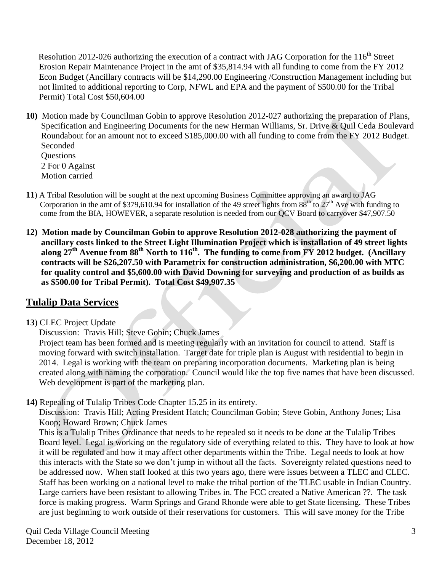**Resolution 2012-026 authorizing the execution of a contract with JAG Corporation for the 116<sup>th</sup> Street**  Erosion Repair Maintenance Project in the amt of \$35,814.94 with all funding to come from the FY 2012 Econ Budget (Ancillary contracts will be \$14,290.00 Engineering /Construction Management including but not limited to additional reporting to Corp, NFWL and EPA and the payment of \$500.00 for the Tribal Permit) Total Cost \$50,604.00

**10)** Motion made by Councilman Gobin to approve Resolution 2012-027 authorizing the preparation of Plans, Specification and Engineering Documents for the new Herman Williams, Sr. Drive & Quil Ceda Boulevard Roundabout for an amount not to exceed \$185,000.00 with all funding to come from the FY 2012 Budget. Seconded

**Ouestions**  2 For 0 Against Motion carried

- **11**) A Tribal Resolution will be sought at the next upcoming Business Committee approving an award to JAG Corporation in the amt of \$379,610.94 for installation of the 49 street lights from  $88^{th}$  to  $27^{th}$  Ave with funding to come from the BIA, HOWEVER, a separate resolution is needed from our QCV Board to carryover \$47,907.50
- **12) Motion made by Councilman Gobin to approve Resolution 2012-028 authorizing the payment of ancillary costs linked to the Street Light Illumination Project which is installation of 49 street lights along 27th Avenue from 88th North to 116th. The funding to come from FY 2012 budget. (Ancillary contracts will be \$26,207.50 with Parametrix for construction administration, \$6,200.00 with MTC for quality control and \$5,600.00 with David Downing for surveying and production of as builds as as \$500.00 for Tribal Permit). Total Cost \$49,907.35**

# **Tulalip Data Services**

#### **13**) CLEC Project Update

Discussion: Travis Hill; Steve Gobin; Chuck James

 Project team has been formed and is meeting regularly with an invitation for council to attend. Staff is moving forward with switch installation. Target date for triple plan is August with residential to begin in 2014. Legal is working with the team on preparing incorporation documents. Marketing plan is being created along with naming the corporation. Council would like the top five names that have been discussed. Web development is part of the marketing plan.

**14)** Repealing of Tulalip Tribes Code Chapter 15.25 in its entirety.

Discussion: Travis Hill; Acting President Hatch; Councilman Gobin; Steve Gobin, Anthony Jones; Lisa Koop; Howard Brown; Chuck James

 This is a Tulalip Tribes Ordinance that needs to be repealed so it needs to be done at the Tulalip Tribes Board level. Legal is working on the regulatory side of everything related to this. They have to look at how it will be regulated and how it may affect other departments within the Tribe. Legal needs to look at how this interacts with the State so we don't jump in without all the facts. Sovereignty related questions need to be addressed now. When staff looked at this two years ago, there were issues between a TLEC and CLEC. Staff has been working on a national level to make the tribal portion of the TLEC usable in Indian Country. Large carriers have been resistant to allowing Tribes in. The FCC created a Native American ??. The task force is making progress. Warm Springs and Grand Rhonde were able to get State licensing. These Tribes are just beginning to work outside of their reservations for customers. This will save money for the Tribe